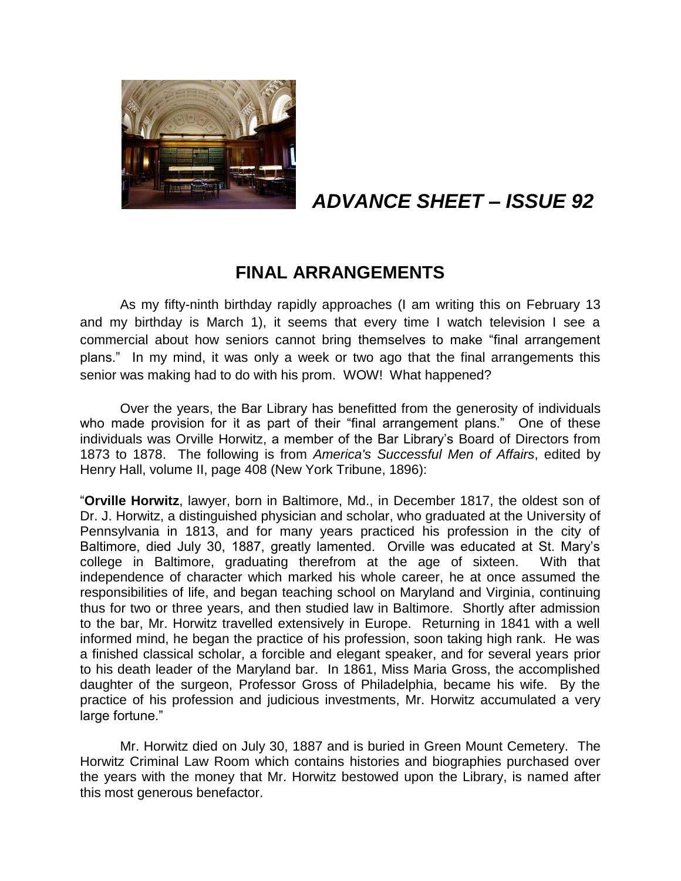

# *ADVANCE SHEET – ISSUE 92*

## **FINAL ARRANGEMENTS**

As my fifty-ninth birthday rapidly approaches (I am writing this on February 13 and my birthday is March 1), it seems that every time I watch television I see a commercial about how seniors cannot bring themselves to make "final arrangement plans." In my mind, it was only a week or two ago that the final arrangements this senior was making had to do with his prom. WOW! What happened?

Over the years, the Bar Library has benefitted from the generosity of individuals who made provision for it as part of their "final arrangement plans." One of these individuals was Orville Horwitz, a member of the Bar Library's Board of Directors from 1873 to 1878. The following is from *America's Successful Men of Affairs*, edited by Henry Hall, volume II, page 408 (New York Tribune, 1896):

"**Orville Horwitz**, lawyer, born in Baltimore, Md., in December 1817, the oldest son of Dr. J. Horwitz, a distinguished physician and scholar, who graduated at the University of Pennsylvania in 1813, and for many years practiced his profession in the city of Baltimore, died July 30, 1887, greatly lamented. Orville was educated at St. Mary's college in Baltimore, graduating therefrom at the age of sixteen. With that independence of character which marked his whole career, he at once assumed the responsibilities of life, and began teaching school on Maryland and Virginia, continuing thus for two or three years, and then studied law in Baltimore. Shortly after admission to the bar, Mr. Horwitz travelled extensively in Europe. Returning in 1841 with a well informed mind, he began the practice of his profession, soon taking high rank. He was a finished classical scholar, a forcible and elegant speaker, and for several years prior to his death leader of the Maryland bar. In 1861, Miss Maria Gross, the accomplished daughter of the surgeon, Professor Gross of Philadelphia, became his wife. By the practice of his profession and judicious investments, Mr. Horwitz accumulated a very large fortune."

Mr. Horwitz died on July 30, 1887 and is buried in Green Mount Cemetery. The Horwitz Criminal Law Room which contains histories and biographies purchased over the years with the money that Mr. Horwitz bestowed upon the Library, is named after this most generous benefactor.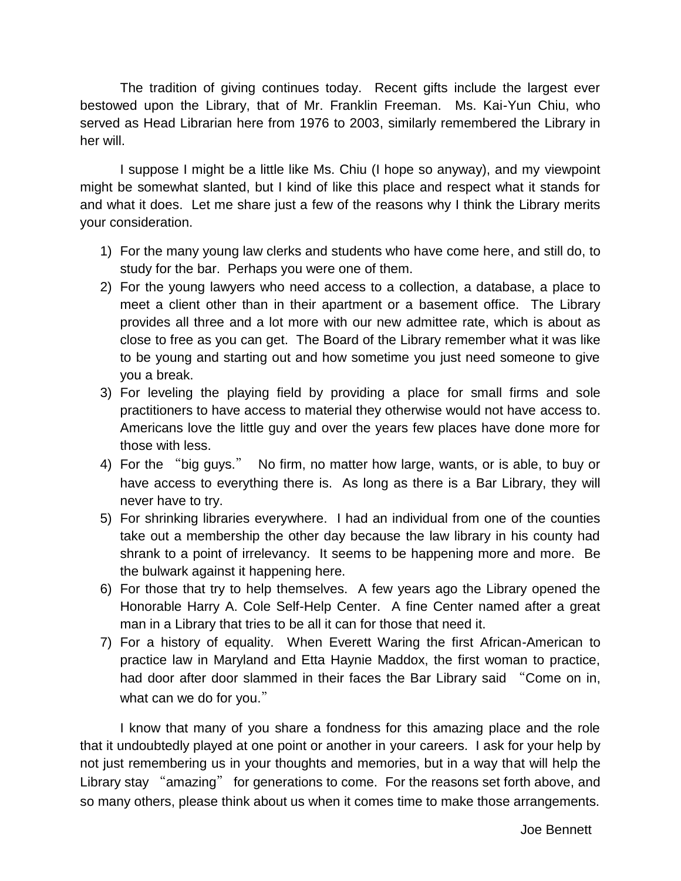The tradition of giving continues today. Recent gifts include the largest ever bestowed upon the Library, that of Mr. Franklin Freeman. Ms. Kai-Yun Chiu, who served as Head Librarian here from 1976 to 2003, similarly remembered the Library in her will.

I suppose I might be a little like Ms. Chiu (I hope so anyway), and my viewpoint might be somewhat slanted, but I kind of like this place and respect what it stands for and what it does. Let me share just a few of the reasons why I think the Library merits your consideration.

- 1) For the many young law clerks and students who have come here, and still do, to study for the bar. Perhaps you were one of them.
- 2) For the young lawyers who need access to a collection, a database, a place to meet a client other than in their apartment or a basement office. The Library provides all three and a lot more with our new admittee rate, which is about as close to free as you can get. The Board of the Library remember what it was like to be young and starting out and how sometime you just need someone to give you a break.
- 3) For leveling the playing field by providing a place for small firms and sole practitioners to have access to material they otherwise would not have access to. Americans love the little guy and over the years few places have done more for those with less.
- 4) For the "big guys." No firm, no matter how large, wants, or is able, to buy or have access to everything there is. As long as there is a Bar Library, they will never have to try.
- 5) For shrinking libraries everywhere. I had an individual from one of the counties take out a membership the other day because the law library in his county had shrank to a point of irrelevancy. It seems to be happening more and more. Be the bulwark against it happening here.
- 6) For those that try to help themselves. A few years ago the Library opened the Honorable Harry A. Cole Self-Help Center. A fine Center named after a great man in a Library that tries to be all it can for those that need it.
- 7) For a history of equality. When Everett Waring the first African-American to practice law in Maryland and Etta Haynie Maddox, the first woman to practice, had door after door slammed in their faces the Bar Library said "Come on in, what can we do for you."

I know that many of you share a fondness for this amazing place and the role that it undoubtedly played at one point or another in your careers. I ask for your help by not just remembering us in your thoughts and memories, but in a way that will help the Library stay "amazing" for generations to come. For the reasons set forth above, and so many others, please think about us when it comes time to make those arrangements.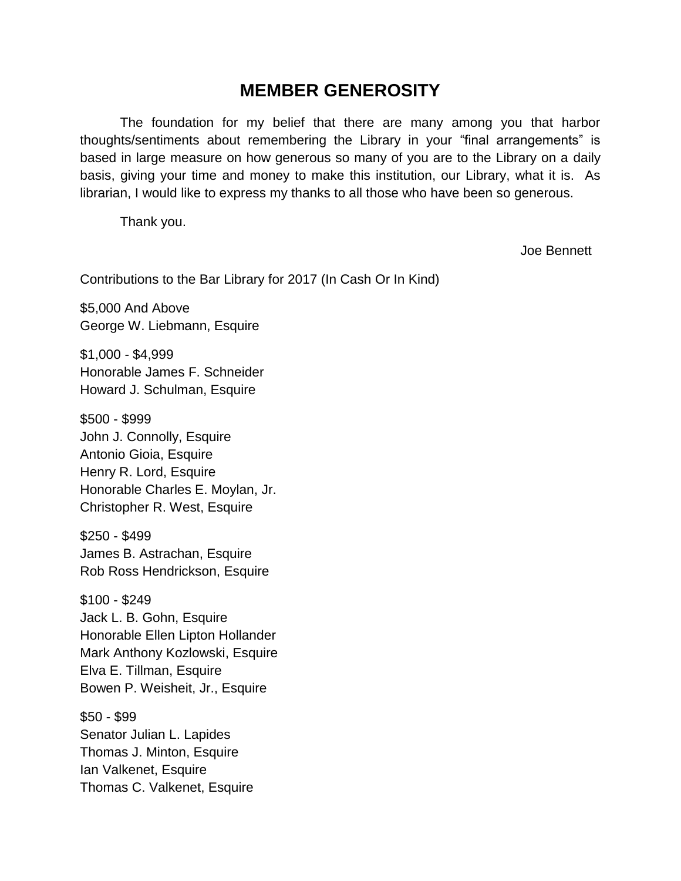### **MEMBER GENEROSITY**

The foundation for my belief that there are many among you that harbor thoughts/sentiments about remembering the Library in your "final arrangements" is based in large measure on how generous so many of you are to the Library on a daily basis, giving your time and money to make this institution, our Library, what it is. As librarian, I would like to express my thanks to all those who have been so generous.

Thank you.

Joe Bennett

Contributions to the Bar Library for 2017 (In Cash Or In Kind)

\$5,000 And Above George W. Liebmann, Esquire

\$1,000 - \$4,999 Honorable James F. Schneider Howard J. Schulman, Esquire

\$500 - \$999 John J. Connolly, Esquire Antonio Gioia, Esquire Henry R. Lord, Esquire Honorable Charles E. Moylan, Jr. Christopher R. West, Esquire

\$250 - \$499 James B. Astrachan, Esquire Rob Ross Hendrickson, Esquire

\$100 - \$249 Jack L. B. Gohn, Esquire Honorable Ellen Lipton Hollander Mark Anthony Kozlowski, Esquire Elva E. Tillman, Esquire Bowen P. Weisheit, Jr., Esquire

\$50 - \$99 Senator Julian L. Lapides Thomas J. Minton, Esquire Ian Valkenet, Esquire Thomas C. Valkenet, Esquire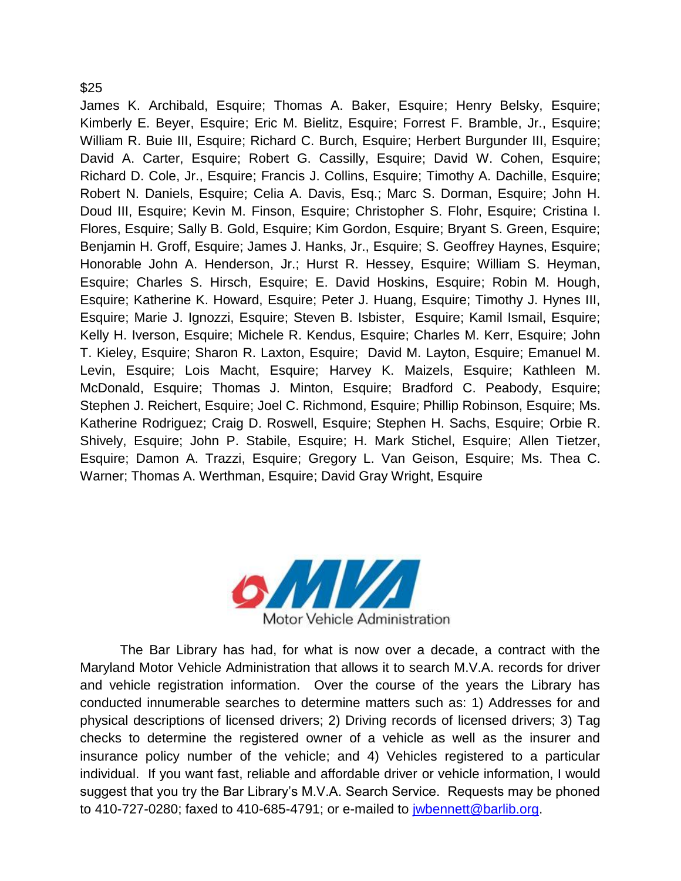#### \$25

James K. Archibald, Esquire; Thomas A. Baker, Esquire; Henry Belsky, Esquire; Kimberly E. Beyer, Esquire; Eric M. Bielitz, Esquire; Forrest F. Bramble, Jr., Esquire; William R. Buie III, Esquire; Richard C. Burch, Esquire; Herbert Burgunder III, Esquire; David A. Carter, Esquire; Robert G. Cassilly, Esquire; David W. Cohen, Esquire; Richard D. Cole, Jr., Esquire; Francis J. Collins, Esquire; Timothy A. Dachille, Esquire; Robert N. Daniels, Esquire; Celia A. Davis, Esq.; Marc S. Dorman, Esquire; John H. Doud III, Esquire; Kevin M. Finson, Esquire; Christopher S. Flohr, Esquire; Cristina I. Flores, Esquire; Sally B. Gold, Esquire; Kim Gordon, Esquire; Bryant S. Green, Esquire; Benjamin H. Groff, Esquire; James J. Hanks, Jr., Esquire; S. Geoffrey Haynes, Esquire; Honorable John A. Henderson, Jr.; Hurst R. Hessey, Esquire; William S. Heyman, Esquire; Charles S. Hirsch, Esquire; E. David Hoskins, Esquire; Robin M. Hough, Esquire; Katherine K. Howard, Esquire; Peter J. Huang, Esquire; Timothy J. Hynes III, Esquire; Marie J. Ignozzi, Esquire; Steven B. Isbister, Esquire; Kamil Ismail, Esquire; Kelly H. Iverson, Esquire; Michele R. Kendus, Esquire; Charles M. Kerr, Esquire; John T. Kieley, Esquire; Sharon R. Laxton, Esquire; David M. Layton, Esquire; Emanuel M. Levin, Esquire; Lois Macht, Esquire; Harvey K. Maizels, Esquire; Kathleen M. McDonald, Esquire; Thomas J. Minton, Esquire; Bradford C. Peabody, Esquire; Stephen J. Reichert, Esquire; Joel C. Richmond, Esquire; Phillip Robinson, Esquire; Ms. Katherine Rodriguez; Craig D. Roswell, Esquire; Stephen H. Sachs, Esquire; Orbie R. Shively, Esquire; John P. Stabile, Esquire; H. Mark Stichel, Esquire; Allen Tietzer, Esquire; Damon A. Trazzi, Esquire; Gregory L. Van Geison, Esquire; Ms. Thea C. Warner; Thomas A. Werthman, Esquire; David Gray Wright, Esquire



The Bar Library has had, for what is now over a decade, a contract with the Maryland Motor Vehicle Administration that allows it to search M.V.A. records for driver and vehicle registration information. Over the course of the years the Library has conducted innumerable searches to determine matters such as: 1) Addresses for and physical descriptions of licensed drivers; 2) Driving records of licensed drivers; 3) Tag checks to determine the registered owner of a vehicle as well as the insurer and insurance policy number of the vehicle; and 4) Vehicles registered to a particular individual. If you want fast, reliable and affordable driver or vehicle information, I would suggest that you try the Bar Library's M.V.A. Search Service. Requests may be phoned to 410-727-0280; faxed to 410-685-4791; or e-mailed to [jwbennett@barlib.org.](mailto:jwbennett@barlib.org)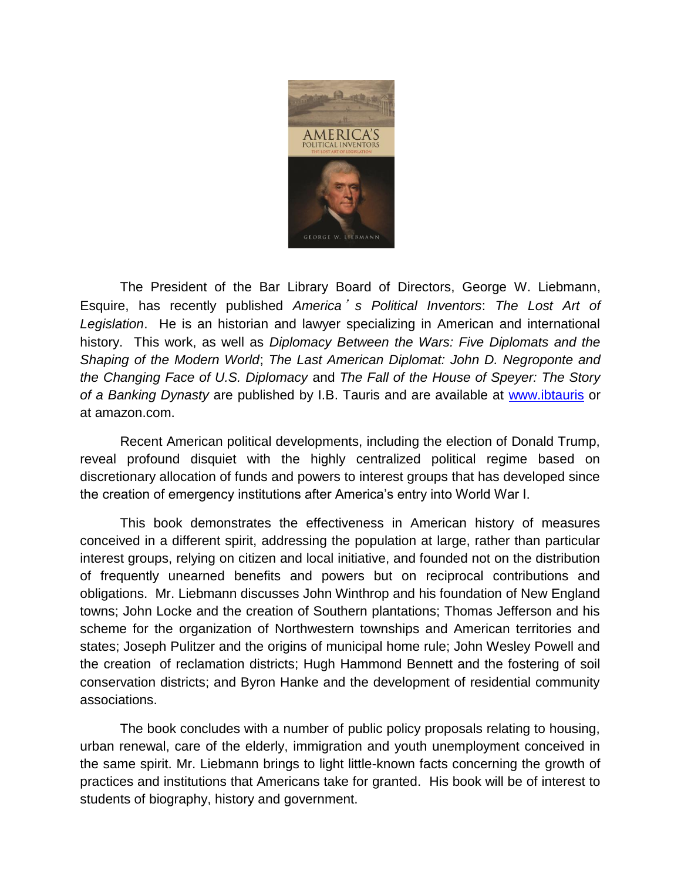

The President of the Bar Library Board of Directors, George W. Liebmann, Esquire, has recently published *America*'*s Political Inventors*: *The Lost Art of Legislation*. He is an historian and lawyer specializing in American and international history. This work, as well as *Diplomacy Between the Wars: Five Diplomats and the Shaping of the Modern World*; *The Last American Diplomat: John D. Negroponte and the Changing Face of U.S. Diplomacy* and *The Fall of the House of Speyer: The Story of a Banking Dynasty* are published by I.B. Tauris and are available at [www.ibtauris](http://www.ibtauris/) or at amazon.com.

Recent American political developments, including the election of Donald Trump, reveal profound disquiet with the highly centralized political regime based on discretionary allocation of funds and powers to interest groups that has developed since the creation of emergency institutions after America's entry into World War I.

This book demonstrates the effectiveness in American history of measures conceived in a different spirit, addressing the population at large, rather than particular interest groups, relying on citizen and local initiative, and founded not on the distribution of frequently unearned benefits and powers but on reciprocal contributions and obligations. Mr. Liebmann discusses John Winthrop and his foundation of New England towns; John Locke and the creation of Southern plantations; Thomas Jefferson and his scheme for the organization of Northwestern townships and American territories and states; Joseph Pulitzer and the origins of municipal home rule; John Wesley Powell and the creation of reclamation districts; Hugh Hammond Bennett and the fostering of soil conservation districts; and Byron Hanke and the development of residential community associations.

The book concludes with a number of public policy proposals relating to housing, urban renewal, care of the elderly, immigration and youth unemployment conceived in the same spirit. Mr. Liebmann brings to light little-known facts concerning the growth of practices and institutions that Americans take for granted. His book will be of interest to students of biography, history and government.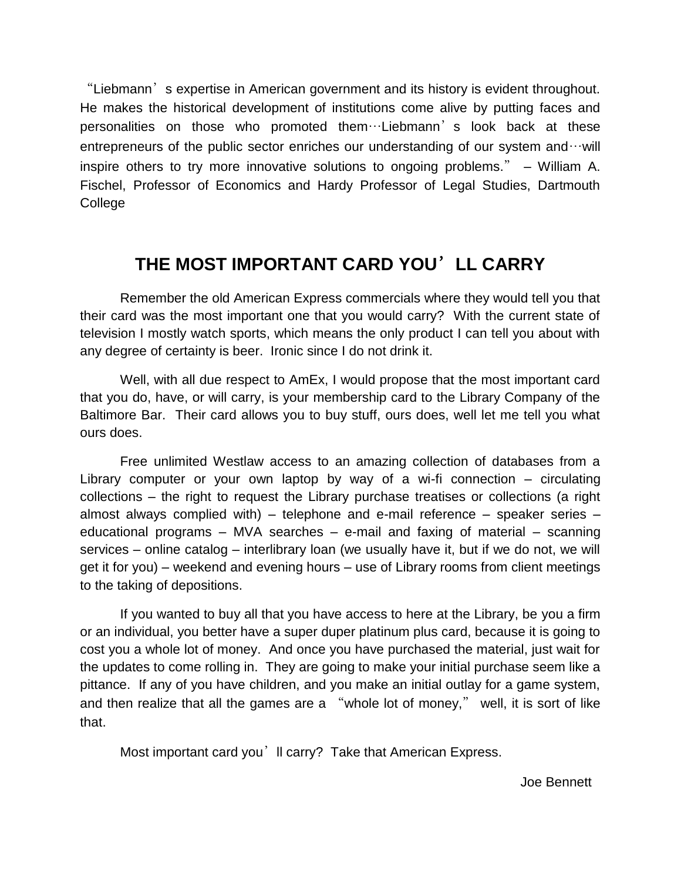"Liebmann's expertise in American government and its history is evident throughout. He makes the historical development of institutions come alive by putting faces and personalities on those who promoted them…Liebmann's look back at these entrepreneurs of the public sector enriches our understanding of our system and  $\cdots$  will inspire others to try more innovative solutions to ongoing problems." – William A. Fischel, Professor of Economics and Hardy Professor of Legal Studies, Dartmouth College

## **THE MOST IMPORTANT CARD YOU**'**LL CARRY**

Remember the old American Express commercials where they would tell you that their card was the most important one that you would carry? With the current state of television I mostly watch sports, which means the only product I can tell you about with any degree of certainty is beer. Ironic since I do not drink it.

Well, with all due respect to AmEx, I would propose that the most important card that you do, have, or will carry, is your membership card to the Library Company of the Baltimore Bar. Their card allows you to buy stuff, ours does, well let me tell you what ours does.

Free unlimited Westlaw access to an amazing collection of databases from a Library computer or your own laptop by way of a wi-fi connection – circulating collections – the right to request the Library purchase treatises or collections (a right almost always complied with) – telephone and e-mail reference – speaker series – educational programs – MVA searches – e-mail and faxing of material – scanning services – online catalog – interlibrary loan (we usually have it, but if we do not, we will get it for you) – weekend and evening hours – use of Library rooms from client meetings to the taking of depositions.

If you wanted to buy all that you have access to here at the Library, be you a firm or an individual, you better have a super duper platinum plus card, because it is going to cost you a whole lot of money. And once you have purchased the material, just wait for the updates to come rolling in. They are going to make your initial purchase seem like a pittance. If any of you have children, and you make an initial outlay for a game system, and then realize that all the games are a "whole lot of money," well, it is sort of like that.

Most important card you'll carry? Take that American Express.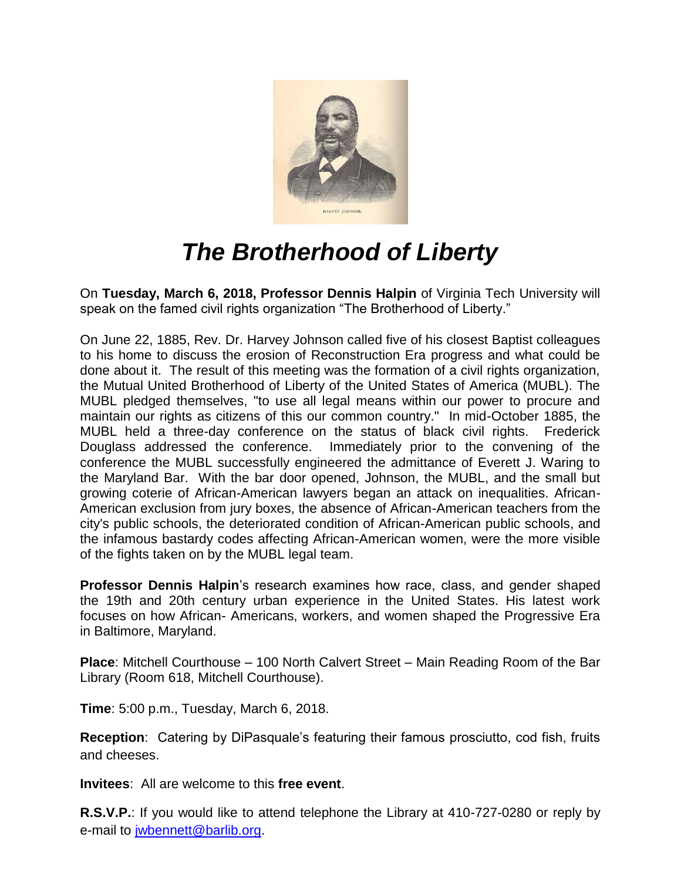

# *The Brotherhood of Liberty*

On **Tuesday, March 6, 2018, Professor Dennis Halpin** of Virginia Tech University will speak on the famed civil rights organization "The Brotherhood of Liberty."

On June 22, 1885, Rev. Dr. Harvey Johnson called five of his closest Baptist colleagues to his home to discuss the erosion of Reconstruction Era progress and what could be done about it. The result of this meeting was the formation of a civil rights organization, the Mutual United Brotherhood of Liberty of the United States of America (MUBL). The MUBL pledged themselves, "to use all legal means within our power to procure and maintain our rights as citizens of this our common country." In mid-October 1885, the MUBL held a three-day conference on the status of black civil rights. Frederick Douglass addressed the conference. Immediately prior to the convening of the conference the MUBL successfully engineered the admittance of Everett J. Waring to the Maryland Bar. With the bar door opened, Johnson, the MUBL, and the small but growing coterie of African-American lawyers began an attack on inequalities. African-American exclusion from jury boxes, the absence of African-American teachers from the city's public schools, the deteriorated condition of African-American public schools, and the infamous bastardy codes affecting African-American women, were the more visible of the fights taken on by the MUBL legal team.

**Professor Dennis Halpin**'s research examines how race, class, and gender shaped the 19th and 20th century urban experience in the United States. His latest work focuses on how African- Americans, workers, and women shaped the Progressive Era in Baltimore, Maryland.

**Place**: Mitchell Courthouse – 100 North Calvert Street – Main Reading Room of the Bar Library (Room 618, Mitchell Courthouse).

**Time**: 5:00 p.m., Tuesday, March 6, 2018.

**Reception**: Catering by DiPasquale's featuring their famous prosciutto, cod fish, fruits and cheeses.

**Invitees**: All are welcome to this **free event**.

**R.S.V.P.**: If you would like to attend telephone the Library at 410-727-0280 or reply by e-mail to [jwbennett@barlib.org.](mailto:jwbennett@barlib.org)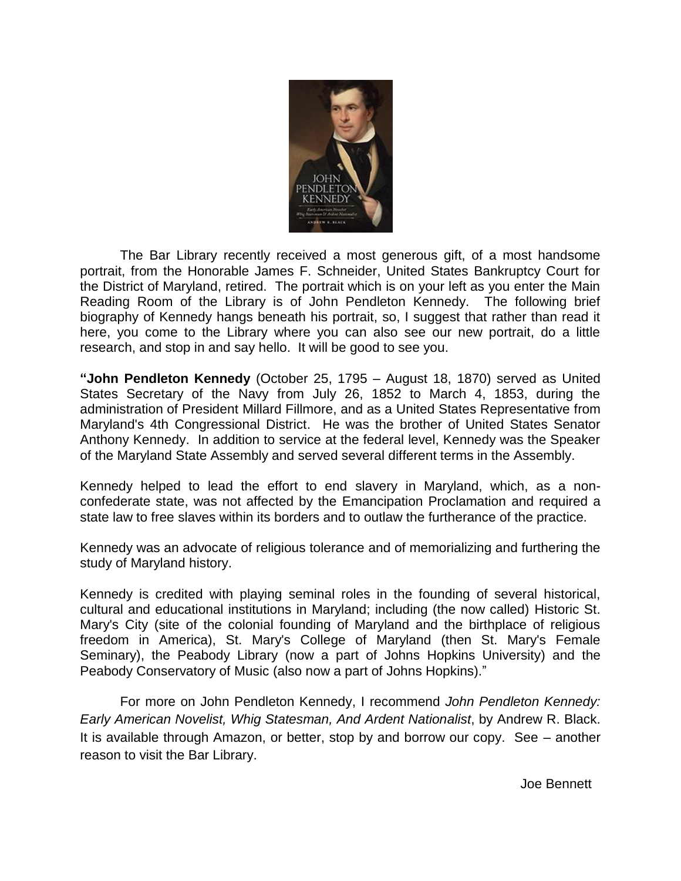

The Bar Library recently received a most generous gift, of a most handsome portrait, from the Honorable James F. Schneider, United States Bankruptcy Court for the District of Maryland, retired. The portrait which is on your left as you enter the Main Reading Room of the Library is of John Pendleton Kennedy. The following brief biography of Kennedy hangs beneath his portrait, so, I suggest that rather than read it here, you come to the Library where you can also see our new portrait, do a little research, and stop in and say hello. It will be good to see you.

**"John Pendleton Kennedy** (October 25, 1795 – August 18, 1870) served as [United](https://en.wikipedia.org/wiki/United_States_Secretary_of_the_Navy)  [States Secretary of the Navy](https://en.wikipedia.org/wiki/United_States_Secretary_of_the_Navy) from July 26, 1852 to March 4, 1853, during the administration of President [Millard Fillmore,](https://en.wikipedia.org/wiki/Millard_Fillmore) and as a [United States Representative](https://en.wikipedia.org/wiki/United_States_House_of_Representatives) from [Maryland's 4th Congressional District.](https://en.wikipedia.org/wiki/Maryland%27s_4th_congressional_district) He was the brother of [United States Senator](https://en.wikipedia.org/wiki/United_States_Senate) [Anthony Kennedy.](https://en.wikipedia.org/wiki/Anthony_Kennedy_(Maryland)) In addition to service at the federal level, Kennedy was the Speaker of the Maryland State Assembly and served several different terms in the Assembly.

Kennedy helped to lead the effort to end [slavery](https://en.wikipedia.org/wiki/Slavery) in Maryland, which, as a nonconfederate state, was not affected by the [Emancipation Proclamation](https://en.wikipedia.org/wiki/Emancipation_Proclamation) and required a state law to free slaves within its borders and to outlaw the furtherance of the practice.

Kennedy was an advocate of [religious tolerance](https://en.wikipedia.org/wiki/Religious_tolerance) and of memorializing and furthering the study of [Maryland history.](https://en.wikipedia.org/wiki/History_of_Maryland)

Kennedy is credited with playing seminal roles in the founding of several historical, cultural and educational institutions in Maryland; including (the now called) [Historic St.](https://en.wikipedia.org/wiki/St._Mary%27s_City,_Maryland)  [Mary's City](https://en.wikipedia.org/wiki/St._Mary%27s_City,_Maryland) (site of the colonial founding of Maryland and the birthplace of religious freedom in America), [St. Mary's College of Maryland](https://en.wikipedia.org/wiki/St._Mary%27s_College_of_Maryland) (then St. Mary's Female Seminary), the [Peabody Library](https://en.wikipedia.org/wiki/Peabody_Institute_Library) (now a part of [Johns Hopkins University\)](https://en.wikipedia.org/wiki/Johns_Hopkins_University) and the [Peabody Conservatory of Music](https://en.wikipedia.org/wiki/Peabody_Conservatory_of_Music) (also now a part of Johns Hopkins)."

For more on John Pendleton Kennedy, I recommend *John Pendleton Kennedy: Early American Novelist, Whig Statesman, And Ardent Nationalist*, by Andrew R. Black. It is available through Amazon, or better, stop by and borrow our copy. See – another reason to visit the Bar Library.

Joe Bennett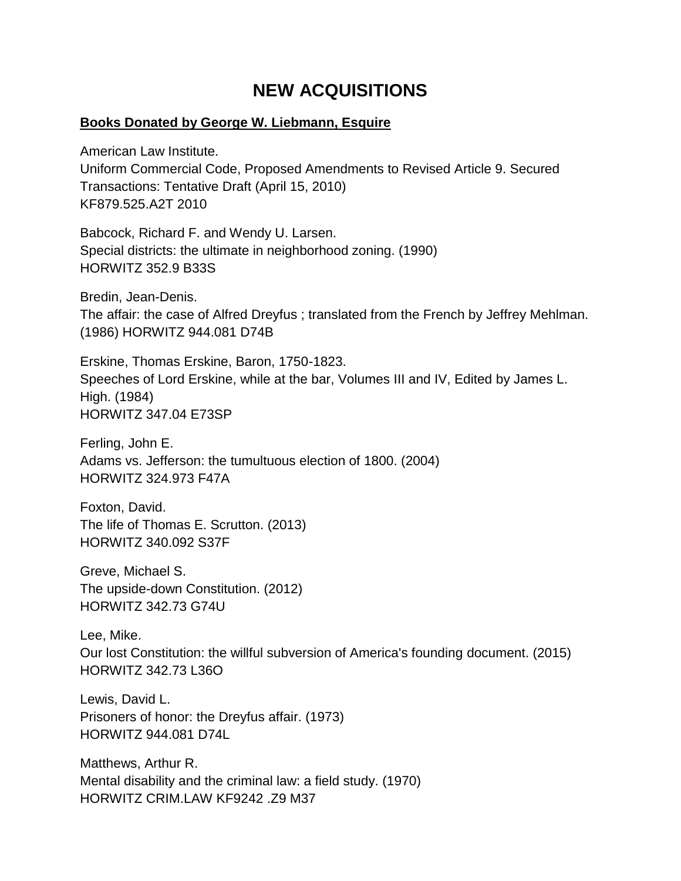## **NEW ACQUISITIONS**

#### **Books Donated by George W. Liebmann, Esquire**

American Law Institute. Uniform Commercial Code, Proposed Amendments to Revised Article 9. Secured Transactions: Tentative Draft (April 15, 2010) KF879.525.A2T 2010

Babcock, Richard F. and Wendy U. Larsen. Special districts: the ultimate in neighborhood zoning. (1990) HORWITZ 352.9 B33S

Bredin, Jean-Denis. The affair: the case of Alfred Dreyfus ; translated from the French by Jeffrey Mehlman. (1986) HORWITZ 944.081 D74B

Erskine, Thomas Erskine, Baron, 1750-1823. Speeches of Lord Erskine, while at the bar, Volumes III and IV, Edited by James L. High. (1984) HORWITZ 347.04 E73SP

Ferling, John E. Adams vs. Jefferson: the tumultuous election of 1800. (2004) HORWITZ 324.973 F47A

Foxton, David. The life of Thomas E. Scrutton. (2013) HORWITZ 340.092 S37F

Greve, Michael S. The upside-down Constitution. (2012) HORWITZ 342.73 G74U

Lee, Mike. Our lost Constitution: the willful subversion of America's founding document. (2015) HORWITZ 342.73 L36O

Lewis, David L. Prisoners of honor: the Dreyfus affair. (1973) HORWITZ 944.081 D74L

Matthews, Arthur R. Mental disability and the criminal law: a field study. (1970) HORWITZ CRIM.LAW KF9242 .Z9 M37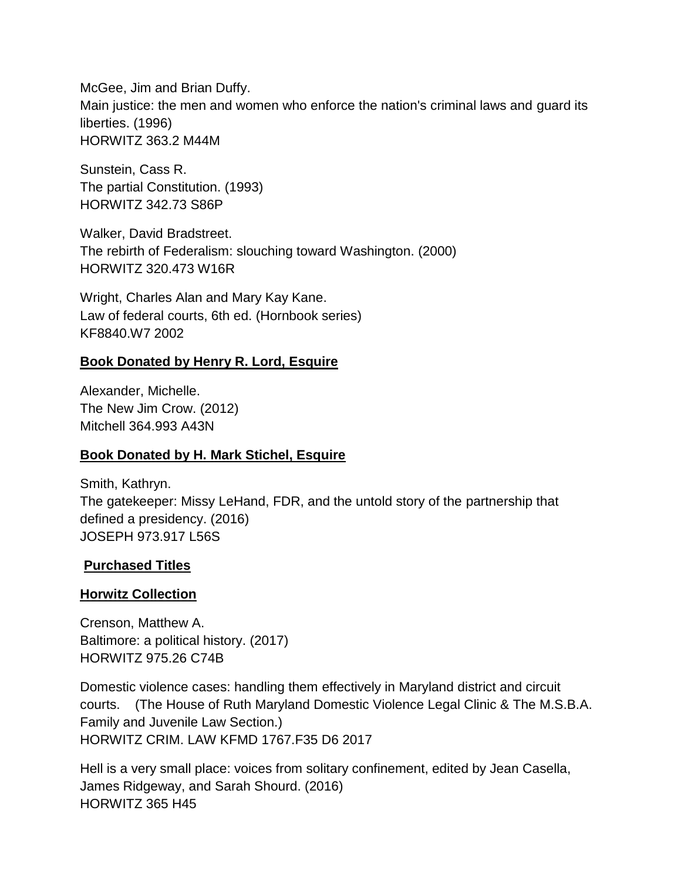McGee, Jim and Brian Duffy. Main justice: the men and women who enforce the nation's criminal laws and guard its liberties. (1996) HORWITZ 363.2 M44M

Sunstein, Cass R. The partial Constitution. (1993) HORWITZ 342.73 S86P

Walker, David Bradstreet. The rebirth of Federalism: slouching toward Washington. (2000) HORWITZ 320.473 W16R

Wright, Charles Alan and Mary Kay Kane. Law of federal courts, 6th ed. (Hornbook series) KF8840.W7 2002

#### **Book Donated by Henry R. Lord, Esquire**

Alexander, Michelle. The New Jim Crow. (2012) Mitchell 364.993 A43N

#### **Book Donated by H. Mark Stichel, Esquire**

Smith, Kathryn. The gatekeeper: Missy LeHand, FDR, and the untold story of the partnership that defined a presidency. (2016) JOSEPH 973.917 L56S

#### **Purchased Titles**

#### **Horwitz Collection**

Crenson, Matthew A. Baltimore: a political history. (2017) HORWITZ 975.26 C74B

Domestic violence cases: handling them effectively in Maryland district and circuit courts. (The House of Ruth Maryland Domestic Violence Legal Clinic & The M.S.B.A. Family and Juvenile Law Section.) HORWITZ CRIM. LAW KFMD 1767.F35 D6 2017

Hell is a very small place: voices from solitary confinement, edited by Jean Casella, James Ridgeway, and Sarah Shourd. (2016) HORWITZ 365 H45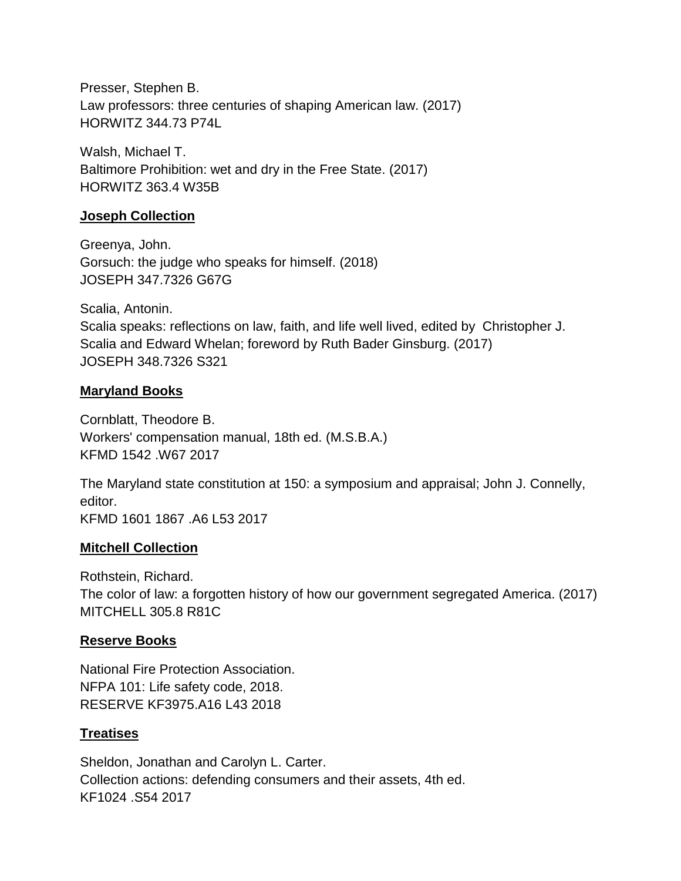Presser, Stephen B. Law professors: three centuries of shaping American law. (2017) HORWITZ 344.73 P74L

Walsh, Michael T. Baltimore Prohibition: wet and dry in the Free State. (2017) HORWITZ 363.4 W35B

#### **Joseph Collection**

Greenya, John. Gorsuch: the judge who speaks for himself. (2018) JOSEPH 347.7326 G67G

Scalia, Antonin. Scalia speaks: reflections on law, faith, and life well lived, edited by Christopher J. Scalia and Edward Whelan; foreword by Ruth Bader Ginsburg. (2017) JOSEPH 348.7326 S321

#### **Maryland Books**

Cornblatt, Theodore B. Workers' compensation manual, 18th ed. (M.S.B.A.) KFMD 1542 .W67 2017

The Maryland state constitution at 150: a symposium and appraisal; John J. Connelly, editor. KFMD 1601 1867 .A6 L53 2017

#### **Mitchell Collection**

Rothstein, Richard. The color of law: a forgotten history of how our government segregated America. (2017) MITCHELL 305.8 R81C

#### **Reserve Books**

National Fire Protection Association. NFPA 101: Life safety code, 2018. RESERVE KF3975.A16 L43 2018

#### **Treatises**

Sheldon, Jonathan and Carolyn L. Carter. Collection actions: defending consumers and their assets, 4th ed. KF1024 .S54 2017